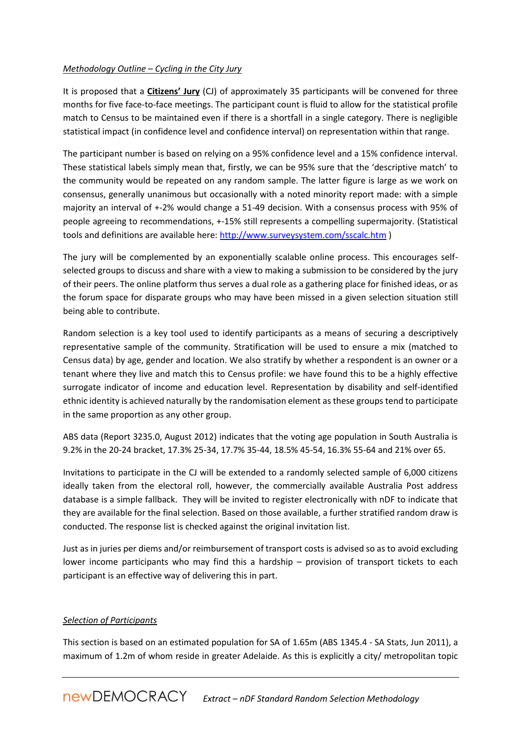## *Methodology Outline – Cycling in the City Jury*

It is proposed that a **Citizens' Jury** (CJ) of approximately 35 participants will be convened for three months for five face-to-face meetings. The participant count is fluid to allow for the statistical profile match to Census to be maintained even if there is a shortfall in a single category. There is negligible statistical impact (in confidence level and confidence interval) on representation within that range.

The participant number is based on relying on a 95% confidence level and a 15% confidence interval. These statistical labels simply mean that, firstly, we can be 95% sure that the 'descriptive match' to the community would be repeated on any random sample. The latter figure is large as we work on consensus, generally unanimous but occasionally with a noted minority report made: with a simple majority an interval of +-2% would change a 51-49 decision. With a consensus process with 95% of people agreeing to recommendations, +-15% still represents a compelling supermajority. (Statistical tools and definitions are available here:<http://www.surveysystem.com/sscalc.htm> )

The jury will be complemented by an exponentially scalable online process. This encourages selfselected groups to discuss and share with a view to making a submission to be considered by the jury of their peers. The online platform thus serves a dual role as a gathering place for finished ideas, or as the forum space for disparate groups who may have been missed in a given selection situation still being able to contribute.

Random selection is a key tool used to identify participants as a means of securing a descriptively representative sample of the community. Stratification will be used to ensure a mix (matched to Census data) by age, gender and location. We also stratify by whether a respondent is an owner or a tenant where they live and match this to Census profile: we have found this to be a highly effective surrogate indicator of income and education level. Representation by disability and self-identified ethnic identity is achieved naturally by the randomisation element as these groups tend to participate in the same proportion as any other group.

ABS data (Report 3235.0, August 2012) indicates that the voting age population in South Australia is 9.2% in the 20-24 bracket, 17.3% 25-34, 17.7% 35-44, 18.5% 45-54, 16.3% 55-64 and 21% over 65.

Invitations to participate in the CJ will be extended to a randomly selected sample of 6,000 citizens ideally taken from the electoral roll, however, the commercially available Australia Post address database is a simple fallback. They will be invited to register electronically with nDF to indicate that they are available for the final selection. Based on those available, a further stratified random draw is conducted. The response list is checked against the original invitation list.

Just as in juries per diems and/or reimbursement of transport costs is advised so as to avoid excluding lower income participants who may find this a hardship – provision of transport tickets to each participant is an effective way of delivering this in part.

## *Selection of Participants*

This section is based on an estimated population for SA of 1.65m (ABS 1345.4 - SA Stats, Jun 2011), a maximum of 1.2m of whom reside in greater Adelaide. As this is explicitly a city/ metropolitan topic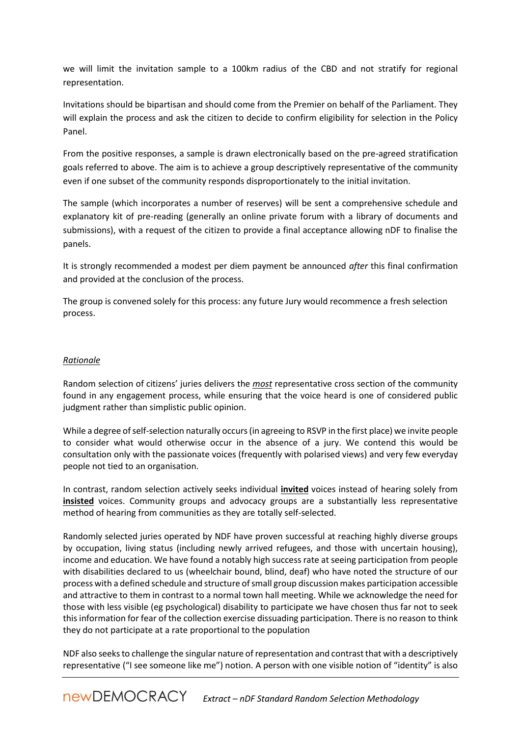we will limit the invitation sample to a 100km radius of the CBD and not stratify for regional representation.

Invitations should be bipartisan and should come from the Premier on behalf of the Parliament. They will explain the process and ask the citizen to decide to confirm eligibility for selection in the Policy Panel.

From the positive responses, a sample is drawn electronically based on the pre-agreed stratification goals referred to above. The aim is to achieve a group descriptively representative of the community even if one subset of the community responds disproportionately to the initial invitation.

The sample (which incorporates a number of reserves) will be sent a comprehensive schedule and explanatory kit of pre-reading (generally an online private forum with a library of documents and submissions), with a request of the citizen to provide a final acceptance allowing nDF to finalise the panels.

It is strongly recommended a modest per diem payment be announced *after* this final confirmation and provided at the conclusion of the process.

The group is convened solely for this process: any future Jury would recommence a fresh selection process.

## *Rationale*

Random selection of citizens' juries delivers the *most* representative cross section of the community found in any engagement process, while ensuring that the voice heard is one of considered public judgment rather than simplistic public opinion.

While a degree of self-selection naturally occurs (in agreeing to RSVP in the first place) we invite people to consider what would otherwise occur in the absence of a jury. We contend this would be consultation only with the passionate voices (frequently with polarised views) and very few everyday people not tied to an organisation.

In contrast, random selection actively seeks individual **invited** voices instead of hearing solely from **insisted** voices. Community groups and advocacy groups are a substantially less representative method of hearing from communities as they are totally self-selected.

Randomly selected juries operated by NDF have proven successful at reaching highly diverse groups by occupation, living status (including newly arrived refugees, and those with uncertain housing), income and education. We have found a notably high success rate at seeing participation from people with disabilities declared to us (wheelchair bound, blind, deaf) who have noted the structure of our process with a defined schedule and structure of small group discussion makes participation accessible and attractive to them in contrast to a normal town hall meeting. While we acknowledge the need for those with less visible (eg psychological) disability to participate we have chosen thus far not to seek this information for fear of the collection exercise dissuading participation. There is no reason to think they do not participate at a rate proportional to the population

NDF also seeks to challenge the singular nature of representation and contrast that with a descriptively representative ("I see someone like me") notion. A person with one visible notion of "identity" is also